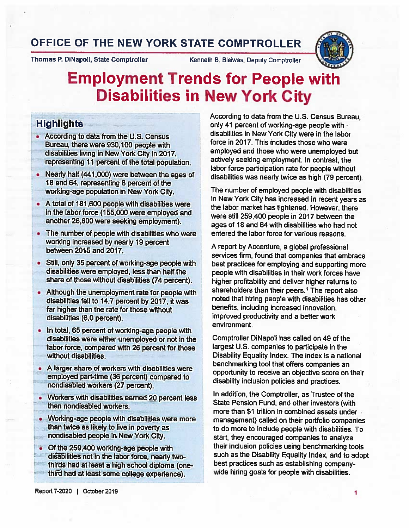## OFFICE OF THE NEW YORK STATE COMPTROLLER

Thomas P. DiNapoli, State Comptroller Kenneth B. Bleiwas, Deputy Comptroller



# Employment Trends for People with Disabilities in New York City

## Highlights

- According to data from the U.S. Census Bureau, there were 930,100 people with disabilities living in New York City in 2017, representing 11 percent of the total population.
- Nearly half (441,000) were between the ages of 18 and 64, representing <sup>6</sup> percent of the working-age population in New York City.
- A total of 181,600 people with disabilities were in the labor force (155,000 were employed and another 26,600 were seeking employment).
- The number of people with disabilities who were working increased by nearly 19 percent between 2015 and 2017.
- Still, only <sup>35</sup> percent of working-age people with disabilities were employed, less than half the share of those without disabilities (74 percent).
- Although the unemployment rate for people with disabilities fell to 14.7 percent by 2017, it was far higher than the rate for those without disabilities (6.0 percent).
- • In total, 65 percent of working-age people with disabilities were either unemployed or not in the labor force, compared with 26 percent for those without disabilities.
- A larger share of workers with disabilities were employed part-time (36 percent) compared to nondisabled workers (27 percent).
- Workers with disabilities earned 20 percent less than nondisabled workers.
- Working-age people with disabilities were more than twice as likely to live in poverty as nondisabled people in New York City.
- Of the 259,400 working-age people with disabilities not in the labor force, nearly two thirds had at least <sup>a</sup> high school diploma (onethird had at least some college experience).

According to data from the U.S. Census Bureau, only <sup>41</sup> percent of working-age people with disabilities in New York City were in the labor force in 2017. This includes those who were employed and those who were unemployed but actively seeking employment. In contrast, the labor force participation rate for people without disabilities was nearly twice as high (79 percent).

The number of employed people with disabilities in New York City has increased in recent years as the labor market has tightened. However, there were still 259,400 people in 2017 between the ages of 18 and 64 with disabilities who had not entered the labor force for various reasons.

A report by Accenture, <sup>a</sup> global professional services firm, found that companies that embrace best practices for employing and supporting more people with disabilities in their work forces have higher profitability and deliver higher returns to shareholders than their peers.<sup>1</sup> The report also noted that hiring people with disabilities has other benefits, including increased innovation, improved productivity and <sup>a</sup> better work environment.

Comptroller DiNapoli has called on 49 of the largest U.S. companies to participate in the Disability Equality Index. The index is <sup>a</sup> national benchmarking tool that offers companies an opportunity to receive an objective score on their disability inclusion policies and practices.

In addition, the Comptroller, as Trustee of the State Pension Fund, and other investors (with more than \$1 trillion in combined assets under management) called on their portfolio companies to do more to include people with disabilities. To start, they encouraged companies to analyze their inclusion policies using benchmarking tools such as the Disability Equality Index, and to adopt best practices such as establishing companywide hiring goals for people with disabilities.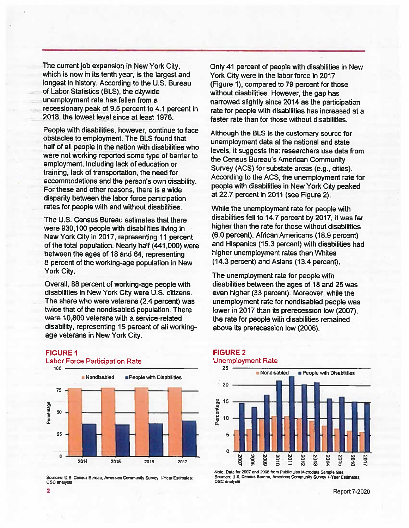The current job expansion in New York City, which is now in its tenth year, is the largest and longest in history. According to the U.S. Bureau of Labor Statistics (BLS), the citywide unemployment rate has fallen from <sup>a</sup> recessionary pea<sup>k</sup> of 9.5 percen<sup>t</sup> to 4.1 percen<sup>t</sup> in 2018, the lowest level since at least 1976.

People with disabilities, however, continue to face obstacles to employment. The BLS found that half of all people in the nation with disabilities who were not working reported some type of barrier to employment, including lack of education or training, lack of transportation, the need for accommodations and the person's own disability. For these and other reasons, there is <sup>a</sup> wide disparity between the labor force participation rates for people with and without disabilities.

The U.S. Census Bureau estimates that there were 930,100 people with disabilities living in New York City in 2017, representing <sup>11</sup> percen<sup>t</sup> of the total population. Nearly half (441,000) were between the ages of 18 and 64, representing 8 percen<sup>t</sup> of the working-age population in New York City.

Overall, 88 percen<sup>t</sup> of working-age people with disabilities in New York City were U.S. citizens. The share who were veterans (2.4 percent) was twice that of the nondisabled population. There were 10,800 veterans with <sup>a</sup> service-related disability, representing 15 percen<sup>t</sup> of all workingage veterans in New York City.

#### FIGURE 1



#### Labor Force Participation Rate

Sources: U.S. Census Bureau, Amercian Community Survey 1-Year Estimates;<br>OSC analysis

Only 41 percen<sup>t</sup> of people with disabilities in New York City were in the labor force in 2017 (Figure 1), compared to 79 percen<sup>t</sup> for those without disabilities. However, the gap has narrowed slightly since 2014 as the participation rate for people with disabilities has increased at <sup>a</sup> faster rate than for those without disabilities.

Although the BLS is the customary source for unemployment data at the national and state levels, it suggests that researchers use data from the Census Bureau's American Community Survey (ACS) for substate areas (e.g., cities). According to the ACS, the unemployment rate for people with disabilities in New York City peaked at 22.7 percen<sup>t</sup> in 2011 (see Figure 2).

While the unemployment rate for people with disabilities fell to 14.7 percen<sup>t</sup> by 2017, it was far higher than the rate for those without disabilities (6.0 percent). African Americans (18.9 percent) and Hispanics (15.3 percent) with disabilities had higher unemployment rates than Whites (14.3 percent) and Asians (13.4 percent).

The unemployment rate for people with disabilities between the ages of 18 and 25 was even higher (33 percent). Moreover, while the unemployment rate for nondisabled people was lower in 2017 than its prerecession low (2007), the rate for people with disabilities remained above its prerecession low (2008).

#### FIGURE 2 Unemployment Rate



Note: Data for 2007 and 2008 from Public Use Microdata Sample files Sources: U.S. Census Bureau, American Community Survey 1-Year Estimates;<br>OSC analysis

<sup>2</sup> Report 7-2020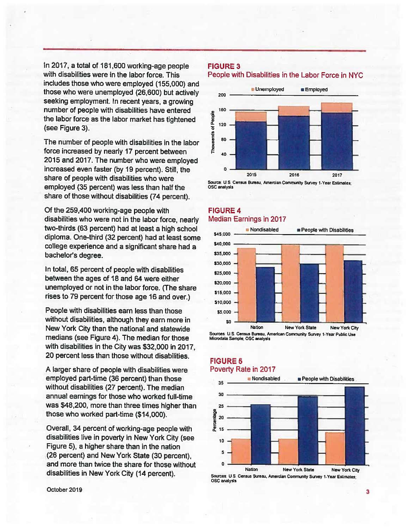In 2017, <sup>a</sup> total of 181,600 working-age people with disabilities were in the labor force. This includes those who were employed (155,000) and those who were unemployed (26,600) but actively seeking employment. In recent years, <sup>a</sup> growing number of people with disabilities have entered the labor force as the labor market has tightened (see Figure 3).

The number of people with disabilities in the labor force increased by nearly <sup>17</sup> percent between 2015 and 2017. The number who were employed increased even faster (by 19 percent). Still, the share of people with disabilities who were employed (35 percent) was less than half the share of those without disabilities (74 percent).

Of the 259,400 working-age people with disabilities who were not in the labor force, nearly two-thirds (63 percent) had at least <sup>a</sup> high school diploma. One-third (32 percent) had at least some college experience and <sup>a</sup> significant share had <sup>a</sup> bachelor's degree.

In total, 65 percent of people with disabilities between the ages of 18 and 64 were either unemployed or not in the labor force. (The share rises to <sup>79</sup> percent for those age 16 and over.)

People with disabilities earn less than those without disabilities, although they earn more in New York City than the national and statewide medians (see Figure 4). The median for those with disabilities in the City was \$32,000 in 2017, 20 percent less than those without disabilities.

A larger share of people with disabilities were employed part-time (36 percent) than those without disabilities (27 percent). The median annual earnings for those who worked full-time was \$48,200, more than three times higher than those who worked part-time (\$14,000).

Overall, <sup>34</sup> percent of working-age people with disabilities live in poverty in New York City (see Figure 5), <sup>a</sup> higher share than in the nation (26 percent) and New York State (30 percent), and more than twice the share for those without disabilities in New York City (14 percent).

#### FIGURE 3

People with Disabilities in the Labor Force in NYC



Source. U.S. Census Bureau, Amercian Community Survey 1-Year Estimates; OSC analysis

#### FIGURE 4 Median Earnings in 2017



Sources: U.S. Census Bureau, American Community Survey 1-Year Public Use Microdata Sample; OSC analysis

#### **FIGURE 5** Poverty Rate in 2017



Sources: U.S. Census Bureau, Amercian Community Survey 1-Year Estimates; OSC analysis

October <sup>2019</sup> <sup>3</sup>